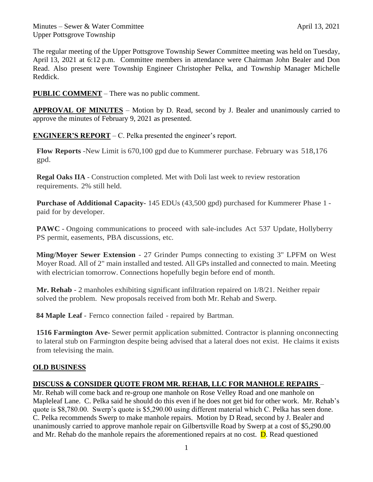The regular meeting of the Upper Pottsgrove Township Sewer Committee meeting was held on Tuesday, April 13, 2021 at 6:12 p.m. Committee members in attendance were Chairman John Bealer and Don Read. Also present were Township Engineer Christopher Pelka, and Township Manager Michelle Reddick.

**PUBLIC COMMENT** – There was no public comment.

**APPROVAL OF MINUTES** – Motion by D. Read, second by J. Bealer and unanimously carried to approve the minutes of February 9, 2021 as presented.

**ENGINEER'S REPORT** – C. Pelka presented the engineer's report.

**Flow Reports** -New Limit is 670,100 gpd due to Kummerer purchase. February was 518,176 gpd.

**Regal Oaks IIA** - Construction completed. Met with Doli last week to review restoration requirements. 2% still held.

**Purchase of Additional Capacity-** 145 EDUs (43,500 gpd) purchased for Kummerer Phase 1 paid for by developer.

**PAWC** - Ongoing communications to proceed with sale-includes Act 537 Update, Hollyberry PS permit, easements, PBA discussions, etc.

**Ming/Moyer Sewer Extension** - 27 Grinder Pumps connecting to existing 3" LPFM on West Moyer Road. All of 2" main installed and tested. All GPs installed and connected to main. Meeting with electrician tomorrow. Connections hopefully begin before end of month.

**Mr. Rehab** - 2 manholes exhibiting significant infiltration repaired on 1/8/21. Neither repair solved the problem. New proposals received from both Mr. Rehab and Swerp.

**84 Maple Leaf** - Fernco connection failed - repaired by Bartman.

**1516 Farmington Ave-** Sewer permit application submitted. Contractor is planning onconnecting to lateral stub on Farmington despite being advised that a lateral does not exist. He claims it exists from televising the main.

## **OLD BUSINESS**

## **DISCUSS & CONSIDER QUOTE FROM MR. REHAB, LLC FOR MANHOLE REPAIRS** –

Mr. Rehab will come back and re-group one manhole on Rose Velley Road and one manhole on Mapleleaf Lane. C. Pelka said he should do this even if he does not get bid for other work. Mr. Rehab's quote is \$8,780.00. Swerp's quote is \$5,290.00 using different material which C. Pelka has seen done. C. Pelka recommends Swerp to make manhole repairs. Motion by D Read, second by J. Bealer and unanimously carried to approve manhole repair on Gilbertsville Road by Swerp at a cost of \$5,290.00 and Mr. Rehab do the manhole repairs the aforementioned repairs at no cost.  $\bf{D}$ . Read questioned